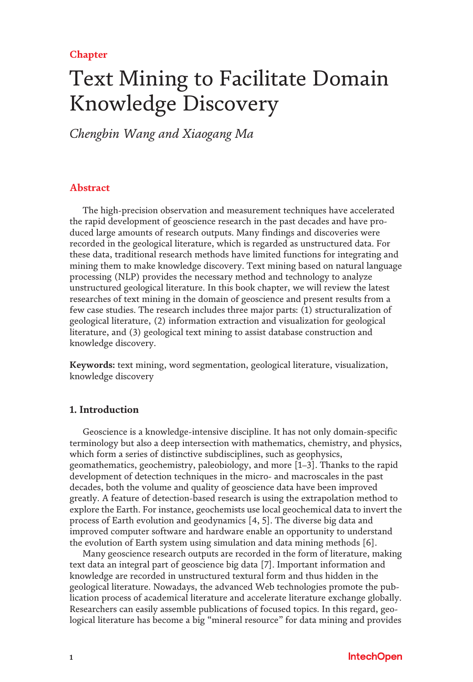#### **Chapter**

# Text Mining to Facilitate Domain Knowledge Discovery

*Chengbin Wang and Xiaogang Ma*

## **Abstract**

The high-precision observation and measurement techniques have accelerated the rapid development of geoscience research in the past decades and have produced large amounts of research outputs. Many findings and discoveries were recorded in the geological literature, which is regarded as unstructured data. For these data, traditional research methods have limited functions for integrating and mining them to make knowledge discovery. Text mining based on natural language processing (NLP) provides the necessary method and technology to analyze unstructured geological literature. In this book chapter, we will review the latest researches of text mining in the domain of geoscience and present results from a few case studies. The research includes three major parts: (1) structuralization of geological literature, (2) information extraction and visualization for geological literature, and (3) geological text mining to assist database construction and knowledge discovery.

**Keywords:** text mining, word segmentation, geological literature, visualization, knowledge discovery

## **1. Introduction**

Geoscience is a knowledge-intensive discipline. It has not only domain-specific terminology but also a deep intersection with mathematics, chemistry, and physics, which form a series of distinctive subdisciplines, such as geophysics, geomathematics, geochemistry, paleobiology, and more [1–3]. Thanks to the rapid development of detection techniques in the micro- and macroscales in the past decades, both the volume and quality of geoscience data have been improved greatly. A feature of detection-based research is using the extrapolation method to explore the Earth. For instance, geochemists use local geochemical data to invert the process of Earth evolution and geodynamics [4, 5]. The diverse big data and improved computer software and hardware enable an opportunity to understand the evolution of Earth system using simulation and data mining methods [6].

Many geoscience research outputs are recorded in the form of literature, making text data an integral part of geoscience big data [7]. Important information and knowledge are recorded in unstructured textural form and thus hidden in the geological literature. Nowadays, the advanced Web technologies promote the publication process of academical literature and accelerate literature exchange globally. Researchers can easily assemble publications of focused topics. In this regard, geological literature has become a big "mineral resource" for data mining and provides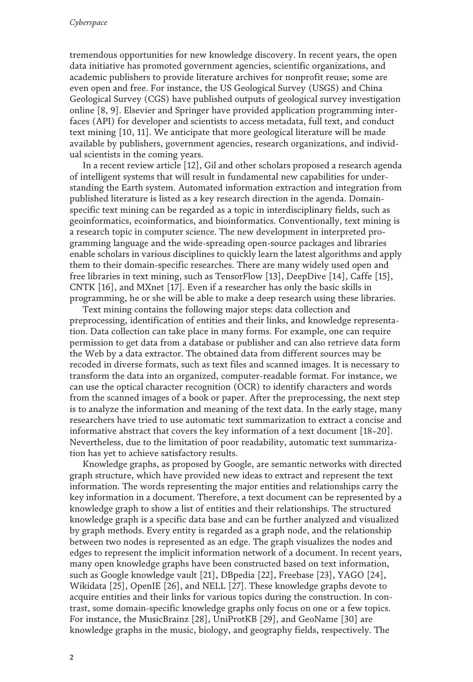tremendous opportunities for new knowledge discovery. In recent years, the open data initiative has promoted government agencies, scientific organizations, and academic publishers to provide literature archives for nonprofit reuse; some are even open and free. For instance, the US Geological Survey (USGS) and China Geological Survey (CGS) have published outputs of geological survey investigation online [8, 9]. Elsevier and Springer have provided application programming interfaces (API) for developer and scientists to access metadata, full text, and conduct text mining [10, 11]. We anticipate that more geological literature will be made available by publishers, government agencies, research organizations, and individual scientists in the coming years.

In a recent review article [12], Gil and other scholars proposed a research agenda of intelligent systems that will result in fundamental new capabilities for understanding the Earth system. Automated information extraction and integration from published literature is listed as a key research direction in the agenda. Domainspecific text mining can be regarded as a topic in interdisciplinary fields, such as geoinformatics, ecoinformatics, and bioinformatics. Conventionally, text mining is a research topic in computer science. The new development in interpreted programming language and the wide-spreading open-source packages and libraries enable scholars in various disciplines to quickly learn the latest algorithms and apply them to their domain-specific researches. There are many widely used open and free libraries in text mining, such as TensorFlow [13], DeepDive [14], Caffe [15], CNTK [16], and MXnet [17]. Even if a researcher has only the basic skills in programming, he or she will be able to make a deep research using these libraries.

Text mining contains the following major steps: data collection and preprocessing, identification of entities and their links, and knowledge representation. Data collection can take place in many forms. For example, one can require permission to get data from a database or publisher and can also retrieve data form the Web by a data extractor. The obtained data from different sources may be recoded in diverse formats, such as text files and scanned images. It is necessary to transform the data into an organized, computer-readable format. For instance, we can use the optical character recognition (OCR) to identify characters and words from the scanned images of a book or paper. After the preprocessing, the next step is to analyze the information and meaning of the text data. In the early stage, many researchers have tried to use automatic text summarization to extract a concise and informative abstract that covers the key information of a text document [18–20]. Nevertheless, due to the limitation of poor readability, automatic text summarization has yet to achieve satisfactory results.

Knowledge graphs, as proposed by Google, are semantic networks with directed graph structure, which have provided new ideas to extract and represent the text information. The words representing the major entities and relationships carry the key information in a document. Therefore, a text document can be represented by a knowledge graph to show a list of entities and their relationships. The structured knowledge graph is a specific data base and can be further analyzed and visualized by graph methods. Every entity is regarded as a graph node, and the relationship between two nodes is represented as an edge. The graph visualizes the nodes and edges to represent the implicit information network of a document. In recent years, many open knowledge graphs have been constructed based on text information, such as Google knowledge vault [21], DBpedia [22], Freebase [23], YAGO [24], Wikidata [25], OpenIE [26], and NELL [27]. These knowledge graphs devote to acquire entities and their links for various topics during the construction. In contrast, some domain-specific knowledge graphs only focus on one or a few topics. For instance, the MusicBrainz [28], UniProtKB [29], and GeoName [30] are knowledge graphs in the music, biology, and geography fields, respectively. The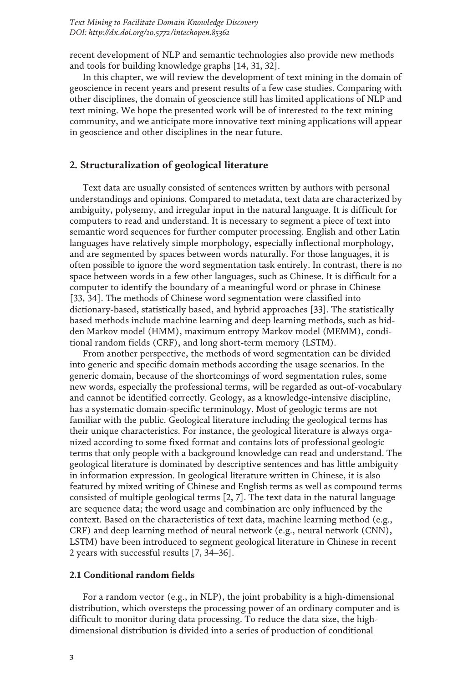recent development of NLP and semantic technologies also provide new methods and tools for building knowledge graphs [14, 31, 32].

In this chapter, we will review the development of text mining in the domain of geoscience in recent years and present results of a few case studies. Comparing with other disciplines, the domain of geoscience still has limited applications of NLP and text mining. We hope the presented work will be of interested to the text mining community, and we anticipate more innovative text mining applications will appear in geoscience and other disciplines in the near future.

# **2. Structuralization of geological literature**

Text data are usually consisted of sentences written by authors with personal understandings and opinions. Compared to metadata, text data are characterized by ambiguity, polysemy, and irregular input in the natural language. It is difficult for computers to read and understand. It is necessary to segment a piece of text into semantic word sequences for further computer processing. English and other Latin languages have relatively simple morphology, especially inflectional morphology, and are segmented by spaces between words naturally. For those languages, it is often possible to ignore the word segmentation task entirely. In contrast, there is no space between words in a few other languages, such as Chinese. It is difficult for a computer to identify the boundary of a meaningful word or phrase in Chinese [33, 34]. The methods of Chinese word segmentation were classified into dictionary-based, statistically based, and hybrid approaches [33]. The statistically based methods include machine learning and deep learning methods, such as hidden Markov model (HMM), maximum entropy Markov model (MEMM), conditional random fields (CRF), and long short-term memory (LSTM).

From another perspective, the methods of word segmentation can be divided into generic and specific domain methods according the usage scenarios. In the generic domain, because of the shortcomings of word segmentation rules, some new words, especially the professional terms, will be regarded as out-of-vocabulary and cannot be identified correctly. Geology, as a knowledge-intensive discipline, has a systematic domain-specific terminology. Most of geologic terms are not familiar with the public. Geological literature including the geological terms has their unique characteristics. For instance, the geological literature is always organized according to some fixed format and contains lots of professional geologic terms that only people with a background knowledge can read and understand. The geological literature is dominated by descriptive sentences and has little ambiguity in information expression. In geological literature written in Chinese, it is also featured by mixed writing of Chinese and English terms as well as compound terms consisted of multiple geological terms [2, 7]. The text data in the natural language are sequence data; the word usage and combination are only influenced by the context. Based on the characteristics of text data, machine learning method (e.g., CRF) and deep learning method of neural network (e.g., neural network (CNN), LSTM) have been introduced to segment geological literature in Chinese in recent 2 years with successful results [7, 34–36].

#### **2.1 Conditional random fields**

For a random vector (e.g., in NLP), the joint probability is a high-dimensional distribution, which oversteps the processing power of an ordinary computer and is difficult to monitor during data processing. To reduce the data size, the highdimensional distribution is divided into a series of production of conditional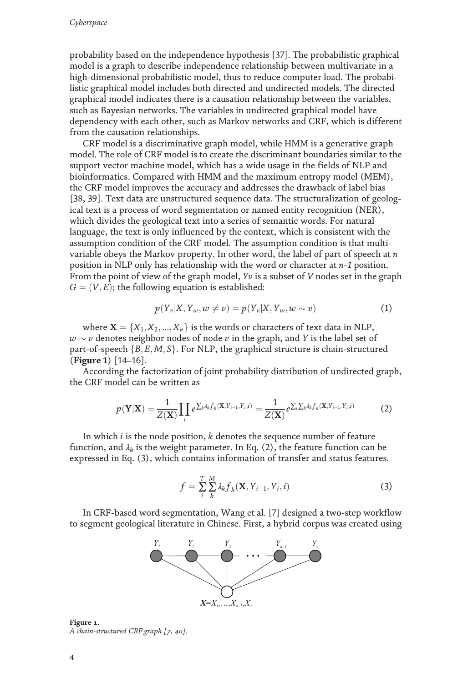probability based on the independence hypothesis [37]. The probabilistic graphical model is a graph to describe independence relationship between multivariate in a high-dimensional probabilistic model, thus to reduce computer load. The probabilistic graphical model includes both directed and undirected models. The directed graphical model indicates there is a causation relationship between the variables, such as Bayesian networks. The variables in undirected graphical model have dependency with each other, such as Markov networks and CRF, which is different from the causation relationships.

CRF model is a discriminative graph model, while HMM is a generative graph model. The role of CRF model is to create the discriminant boundaries similar to the support vector machine model, which has a wide usage in the fields of NLP and bioinformatics. Compared with HMM and the maximum entropy model (MEM), the CRF model improves the accuracy and addresses the drawback of label bias [38, 39]. Text data are unstructured sequence data. The structuralization of geological text is a process of word segmentation or named entity recognition (NER), which divides the geological text into a series of semantic words. For natural language, the text is only influenced by the context, which is consistent with the assumption condition of the CRF model. The assumption condition is that multivariable obeys the Markov property. In other word, the label of part of speech at *n* position in NLP only has relationship with the word or character at *n-1* position. From the point of view of the graph model, *Yv* is a subset of *V* nodes set in the graph  $G = (V, E)$ ; the following equation is established:

$$
p(Y_v|X, Y_w, w \neq v) = p(Y_v|X, Y_w, w \sim v)
$$
\n<sup>(1)</sup>

where  $X = \{X_1, X_2, ..., X_n\}$  is the words or characters of text data in NLP,  $w \sim v$  denotes neighbor nodes of node  $v$  in the graph, and *Y* is the label set of<br>part-of-speech *[R\_F\_M\_S*]. For NI P\_the graphical structure is chain-structur part-of-speech {B, E, M, S}. For NLP, the graphical structure is chain-structured (**Figure 1**) [14–16].

According the factorization of joint probability distribution of undirected graph, the CRF model can be written as

$$
p(\mathbf{Y}|\mathbf{X}) = \frac{1}{Z(\mathbf{X})} \prod_i e^{\sum_k \lambda_k f_k(\mathbf{X}, Y_{i-1}, Y_i, i)} = \frac{1}{Z(\mathbf{X})} e^{\sum_i \sum_k \lambda_k f_k(\mathbf{X}, Y_{i-1}, Y_i, i)}
$$
(2)

In which *i* is the node position, *k* denotes the sequence number of feature function, and  $\lambda_k$  is the weight parameter. In Eq. (2), the feature function can be expressed in Eq. (3), which contains information of transfer and status features.

$$
f = \sum_{i}^{T} \sum_{k}^{M} \lambda_k f_k(\mathbf{X}, Y_{i-1}, Y_i, i)
$$
 (3)

In CRF-based word segmentation, Wang et al. [7] designed a two-step workflow to segment geological literature in Chinese. First, a hybrid corpus was created using



**Figure 1.** *A chain-structured CRF graph [7, 40].*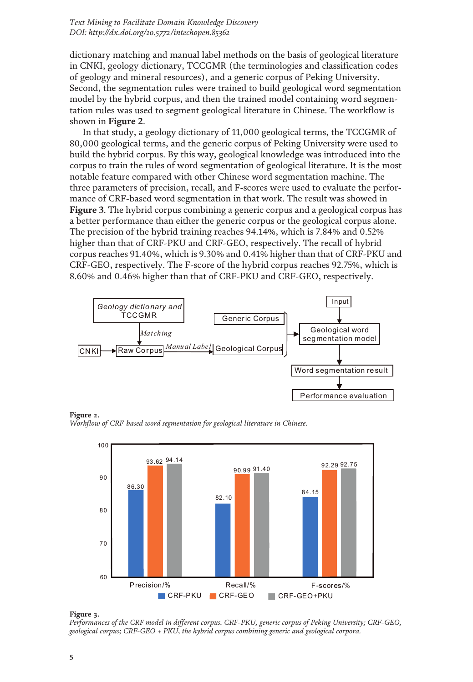dictionary matching and manual label methods on the basis of geological literature in CNKI, geology dictionary, TCCGMR (the terminologies and classification codes of geology and mineral resources), and a generic corpus of Peking University. Second, the segmentation rules were trained to build geological word segmentation model by the hybrid corpus, and then the trained model containing word segmentation rules was used to segment geological literature in Chinese. The workflow is shown in **Figure 2**.

In that study, a geology dictionary of 11,000 geological terms, the TCCGMR of 80,000 geological terms, and the generic corpus of Peking University were used to build the hybrid corpus. By this way, geological knowledge was introduced into the corpus to train the rules of word segmentation of geological literature. It is the most notable feature compared with other Chinese word segmentation machine. The three parameters of precision, recall, and F-scores were used to evaluate the performance of CRF-based word segmentation in that work. The result was showed in **Figure 3**. The hybrid corpus combining a generic corpus and a geological corpus has a better performance than either the generic corpus or the geological corpus alone. The precision of the hybrid training reaches 94.14%, which is 7.84% and 0.52% higher than that of CRF-PKU and CRF-GEO, respectively. The recall of hybrid corpus reaches 91.40%, which is 9.30% and 0.41% higher than that of CRF-PKU and CRF-GEO, respectively. The F-score of the hybrid corpus reaches 92.75%, which is 8.60% and 0.46% higher than that of CRF-PKU and CRF-GEO, respectively.



**Figure 2.** *Workflow of CRF-based word segmentation for geological literature in Chinese.*



**Figure 3.** *Performances of the CRF model in different corpus. CRF-PKU, generic corpus of Peking University; CRF-GEO, geological corpus; CRF-GEO + PKU, the hybrid corpus combining generic and geological corpora.*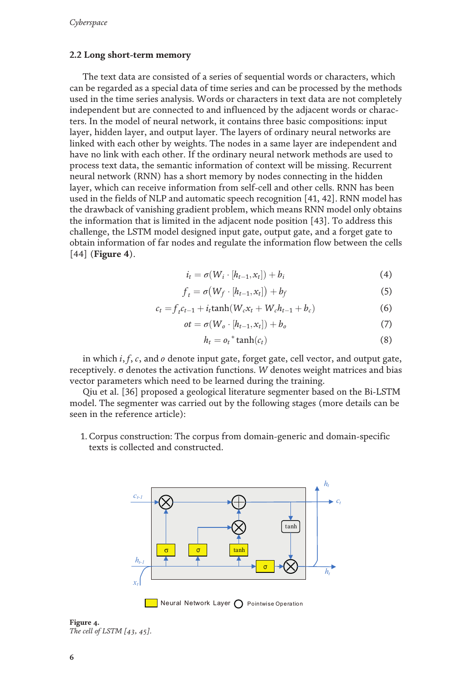#### **2.2 Long short-term memory**

The text data are consisted of a series of sequential words or characters, which can be regarded as a special data of time series and can be processed by the methods used in the time series analysis. Words or characters in text data are not completely independent but are connected to and influenced by the adjacent words or characters. In the model of neural network, it contains three basic compositions: input layer, hidden layer, and output layer. The layers of ordinary neural networks are linked with each other by weights. The nodes in a same layer are independent and have no link with each other. If the ordinary neural network methods are used to process text data, the semantic information of context will be missing. Recurrent neural network (RNN) has a short memory by nodes connecting in the hidden layer, which can receive information from self-cell and other cells. RNN has been used in the fields of NLP and automatic speech recognition [41, 42]. RNN model has the drawback of vanishing gradient problem, which means RNN model only obtains the information that is limited in the adjacent node position [43]. To address this challenge, the LSTM model designed input gate, output gate, and a forget gate to obtain information of far nodes and regulate the information flow between the cells [44] (**Figure 4**).

$$
i_t = \sigma(W_i \cdot [h_{t-1}, x_t]) + b_i \tag{4}
$$

$$
f_t = \sigma(W_f \cdot [h_{t-1}, x_t]) + b_f \tag{5}
$$

$$
c_{t} = f_{t}c_{t-1} + i_{t}\tanh(W_{c}x_{t} + W_{c}h_{t-1} + b_{c})
$$
\n(6)

$$
ot = \sigma(W_o \cdot [h_{t-1}, x_t]) + b_o \tag{7}
$$

$$
h_t = o_t^* \tanh(c_t) \tag{8}
$$

in which *i*, *f*, *c*, and *o* denote input gate, forget gate, cell vector, and output gate, receptively. σ denotes the activation functions. *W* denotes weight matrices and bias vector parameters which need to be learned during the training.

Qiu et al. [36] proposed a geological literature segmenter based on the Bi-LSTM model. The segmenter was carried out by the following stages (more details can be seen in the reference article):

1. Corpus construction: The corpus from domain-generic and domain-specific texts is collected and constructed.



**Figure 4.** *The cell of LSTM [43, 45].*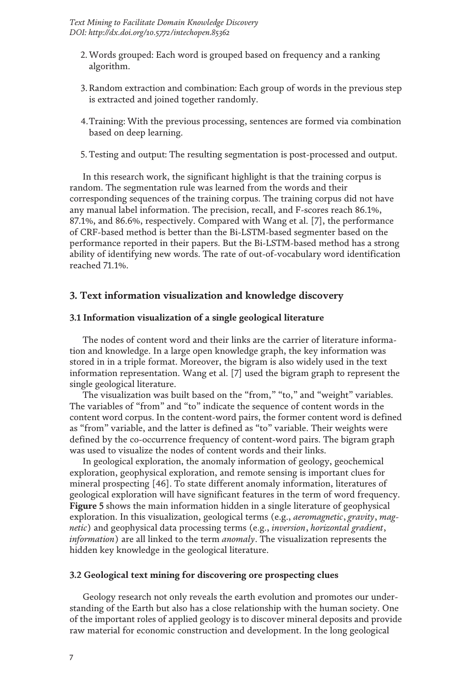- 2.Words grouped: Each word is grouped based on frequency and a ranking algorithm.
- 3. Random extraction and combination: Each group of words in the previous step is extracted and joined together randomly.
- 4.Training: With the previous processing, sentences are formed via combination based on deep learning.
- 5. Testing and output: The resulting segmentation is post-processed and output.

In this research work, the significant highlight is that the training corpus is random. The segmentation rule was learned from the words and their corresponding sequences of the training corpus. The training corpus did not have any manual label information. The precision, recall, and F-scores reach 86.1%, 87.1%, and 86.6%, respectively. Compared with Wang et al. [7], the performance of CRF-based method is better than the Bi-LSTM-based segmenter based on the performance reported in their papers. But the Bi-LSTM-based method has a strong ability of identifying new words. The rate of out-of-vocabulary word identification reached 71.1%.

## **3. Text information visualization and knowledge discovery**

#### **3.1 Information visualization of a single geological literature**

The nodes of content word and their links are the carrier of literature information and knowledge. In a large open knowledge graph, the key information was stored in in a triple format. Moreover, the bigram is also widely used in the text information representation. Wang et al. [7] used the bigram graph to represent the single geological literature.

The visualization was built based on the "from," "to," and "weight" variables. The variables of "from" and "to" indicate the sequence of content words in the content word corpus. In the content-word pairs, the former content word is defined as "from" variable, and the latter is defined as "to" variable. Their weights were defined by the co-occurrence frequency of content-word pairs. The bigram graph was used to visualize the nodes of content words and their links.

In geological exploration, the anomaly information of geology, geochemical exploration, geophysical exploration, and remote sensing is important clues for mineral prospecting [46]. To state different anomaly information, literatures of geological exploration will have significant features in the term of word frequency. **Figure 5** shows the main information hidden in a single literature of geophysical exploration. In this visualization, geological terms (e.g., *aeromagnetic*, *gravity*, *magnetic*) and geophysical data processing terms (e.g., *inversion*, *horizontal gradient*, *information*) are all linked to the term *anomaly*. The visualization represents the hidden key knowledge in the geological literature.

#### **3.2 Geological text mining for discovering ore prospecting clues**

Geology research not only reveals the earth evolution and promotes our understanding of the Earth but also has a close relationship with the human society. One of the important roles of applied geology is to discover mineral deposits and provide raw material for economic construction and development. In the long geological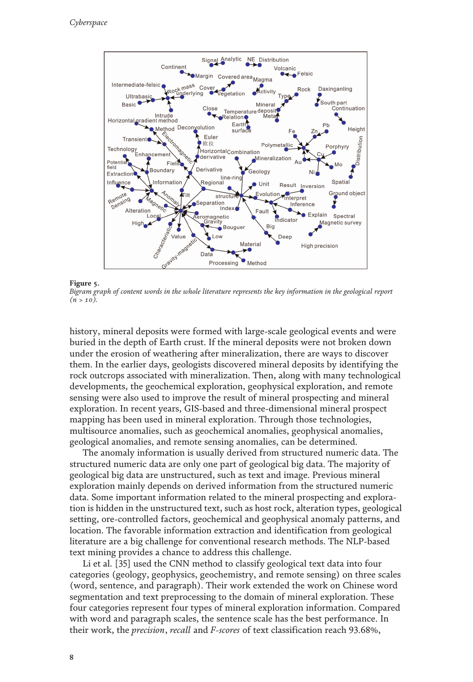

**Figure 5.** *Bigram graph of content words in the whole literature represents the key information in the geological report*  $(n > 10)$ .

history, mineral deposits were formed with large-scale geological events and were buried in the depth of Earth crust. If the mineral deposits were not broken down under the erosion of weathering after mineralization, there are ways to discover them. In the earlier days, geologists discovered mineral deposits by identifying the rock outcrops associated with mineralization. Then, along with many technological developments, the geochemical exploration, geophysical exploration, and remote sensing were also used to improve the result of mineral prospecting and mineral exploration. In recent years, GIS-based and three-dimensional mineral prospect mapping has been used in mineral exploration. Through those technologies, multisource anomalies, such as geochemical anomalies, geophysical anomalies, geological anomalies, and remote sensing anomalies, can be determined.

The anomaly information is usually derived from structured numeric data. The structured numeric data are only one part of geological big data. The majority of geological big data are unstructured, such as text and image. Previous mineral exploration mainly depends on derived information from the structured numeric data. Some important information related to the mineral prospecting and exploration is hidden in the unstructured text, such as host rock, alteration types, geological setting, ore-controlled factors, geochemical and geophysical anomaly patterns, and location. The favorable information extraction and identification from geological literature are a big challenge for conventional research methods. The NLP-based text mining provides a chance to address this challenge.

Li et al. [35] used the CNN method to classify geological text data into four categories (geology, geophysics, geochemistry, and remote sensing) on three scales (word, sentence, and paragraph). Their work extended the work on Chinese word segmentation and text preprocessing to the domain of mineral exploration. These four categories represent four types of mineral exploration information. Compared with word and paragraph scales, the sentence scale has the best performance. In their work, the *precision*, *recall* and *F-scores* of text classification reach 93.68%,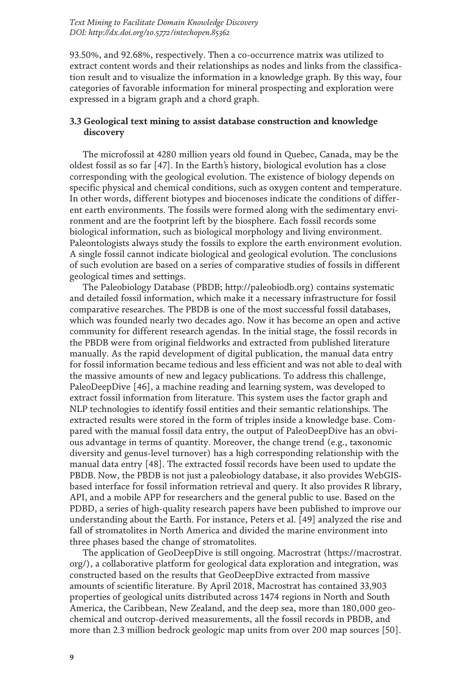93.50%, and 92.68%, respectively. Then a co-occurrence matrix was utilized to extract content words and their relationships as nodes and links from the classification result and to visualize the information in a knowledge graph. By this way, four categories of favorable information for mineral prospecting and exploration were expressed in a bigram graph and a chord graph.

## **3.3 Geological text mining to assist database construction and knowledge discovery**

The microfossil at 4280 million years old found in Quebec, Canada, may be the oldest fossil as so far [47]. In the Earth's history, biological evolution has a close corresponding with the geological evolution. The existence of biology depends on specific physical and chemical conditions, such as oxygen content and temperature. In other words, different biotypes and biocenoses indicate the conditions of different earth environments. The fossils were formed along with the sedimentary environment and are the footprint left by the biosphere. Each fossil records some biological information, such as biological morphology and living environment. Paleontologists always study the fossils to explore the earth environment evolution. A single fossil cannot indicate biological and geological evolution. The conclusions of such evolution are based on a series of comparative studies of fossils in different geological times and settings.

The Paleobiology Database (PBDB; http://paleobiodb.org) contains systematic and detailed fossil information, which make it a necessary infrastructure for fossil comparative researches. The PBDB is one of the most successful fossil databases, which was founded nearly two decades ago. Now it has become an open and active community for different research agendas. In the initial stage, the fossil records in the PBDB were from original fieldworks and extracted from published literature manually. As the rapid development of digital publication, the manual data entry for fossil information became tedious and less efficient and was not able to deal with the massive amounts of new and legacy publications. To address this challenge, PaleoDeepDive [46], a machine reading and learning system, was developed to extract fossil information from literature. This system uses the factor graph and NLP technologies to identify fossil entities and their semantic relationships. The extracted results were stored in the form of triples inside a knowledge base. Compared with the manual fossil data entry, the output of PaleoDeepDive has an obvious advantage in terms of quantity. Moreover, the change trend (e.g., taxonomic diversity and genus-level turnover) has a high corresponding relationship with the manual data entry [48]. The extracted fossil records have been used to update the PBDB. Now, the PBDB is not just a paleobiology database, it also provides WebGISbased interface for fossil information retrieval and query. It also provides R library, API, and a mobile APP for researchers and the general public to use. Based on the PDBD, a series of high-quality research papers have been published to improve our understanding about the Earth. For instance, Peters et al. [49] analyzed the rise and fall of stromatolites in North America and divided the marine environment into three phases based the change of stromatolites.

The application of GeoDeepDive is still ongoing. Macrostrat (https://macrostrat. org/), a collaborative platform for geological data exploration and integration, was constructed based on the results that GeoDeepDive extracted from massive amounts of scientific literature. By April 2018, Macrostrat has contained 33,903 properties of geological units distributed across 1474 regions in North and South America, the Caribbean, New Zealand, and the deep sea, more than 180,000 geochemical and outcrop-derived measurements, all the fossil records in PBDB, and more than 2.3 million bedrock geologic map units from over 200 map sources [50].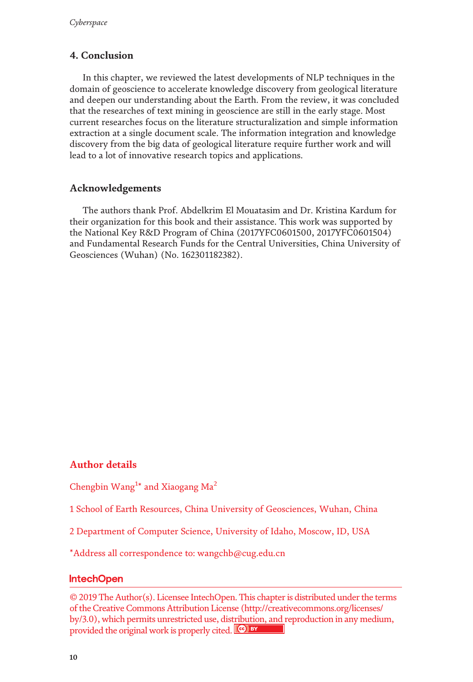# **4. Conclusion**

In this chapter, we reviewed the latest developments of NLP techniques in the domain of geoscience to accelerate knowledge discovery from geological literature and deepen our understanding about the Earth. From the review, it was concluded that the researches of text mining in geoscience are still in the early stage. Most current researches focus on the literature structuralization and simple information extraction at a single document scale. The information integration and knowledge discovery from the big data of geological literature require further work and will lead to a lot of innovative research topics and applications.

# **Acknowledgements**

The authors thank Prof. Abdelkrim El Mouatasim and Dr. Kristina Kardum for their organization for this book and their assistance. This work was supported by the National Key R&D Program of China (2017YFC0601500, 2017YFC0601504) and Fundamental Research Funds for the Central Universities, China University of Geosciences (Wuhan) (No. 162301182382).

# **Author details**

Chengbin Wang<sup>1\*</sup> and Xiaogang Ma<sup>2</sup>

- 1 School of Earth Resources, China University of Geosciences, Wuhan, China
- 2 Department of Computer Science, University of Idaho, Moscow, ID, USA

\*Address all correspondence to: wangchb@cug.edu.cn

# **IntechOpen**

<sup>© 2019</sup> The Author(s). Licensee IntechOpen. This chapter is distributed under the terms of the Creative Commons Attribution License (http://creativecommons.org/licenses/ by/3.0), which permits unrestricted use, distribution, and reproduction in any medium, provided the original work is properly cited. COBY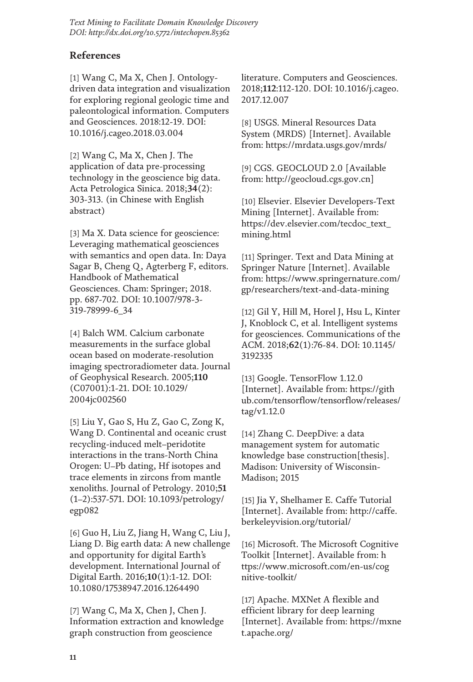## **References**

[1] Wang C, Ma X, Chen J. Ontologydriven data integration and visualization for exploring regional geologic time and paleontological information. Computers and Geosciences. 2018:12-19. DOI: 10.1016/j.cageo.2018.03.004

[2] Wang C, Ma X, Chen J. The application of data pre-processing technology in the geoscience big data. Acta Petrologica Sinica. 2018;**34**(2): 303-313. (in Chinese with English abstract)

[3] Ma X. Data science for geoscience: Leveraging mathematical geosciences with semantics and open data. In: Daya Sagar B, Cheng Q, Agterberg F, editors. Handbook of Mathematical Geosciences. Cham: Springer; 2018. pp. 687-702. DOI: 10.1007/978-3- 319-78999-6\_34

[4] Balch WM. Calcium carbonate measurements in the surface global ocean based on moderate-resolution imaging spectroradiometer data. Journal of Geophysical Research. 2005;**110** (C07001):1-21. DOI: 10.1029/ 2004jc002560

[5] Liu Y, Gao S, Hu Z, Gao C, Zong K, Wang D. Continental and oceanic crust recycling-induced melt–peridotite interactions in the trans-North China Orogen: U–Pb dating, Hf isotopes and trace elements in zircons from mantle xenoliths. Journal of Petrology. 2010;**51** (1–2):537-571. DOI: 10.1093/petrology/ egp082

[6] Guo H, Liu Z, Jiang H, Wang C, Liu J, Liang D. Big earth data: A new challenge and opportunity for digital Earth's development. International Journal of Digital Earth. 2016;**10**(1):1-12. DOI: 10.1080/17538947.2016.1264490

[7] Wang C, Ma X, Chen J, Chen J. Information extraction and knowledge graph construction from geoscience

literature. Computers and Geosciences. 2018;**112**:112-120. DOI: 10.1016/j.cageo. 2017.12.007

[8] USGS. Mineral Resources Data System (MRDS) [Internet]. Available from: https://mrdata.usgs.gov/mrds/

[9] CGS. GEOCLOUD 2.0 [Available from: http://geocloud.cgs.gov.cn]

[10] Elsevier. Elsevier Developers-Text Mining [Internet]. Available from: https://dev.elsevier.com/tecdoc\_text\_ mining.html

[11] Springer. Text and Data Mining at Springer Nature [Internet]. Available from: https://www.springernature.com/ gp/researchers/text-and-data-mining

[12] Gil Y, Hill M, Horel J, Hsu L, Kinter J, Knoblock C, et al. Intelligent systems for geosciences. Communications of the ACM. 2018;**62**(1):76-84. DOI: 10.1145/ 3192335

[13] Google. TensorFlow 1.12.0 [Internet]. Available from: https://gith ub.com/tensorflow/tensorflow/releases/ tag/v1.12.0

[14] Zhang C. DeepDive: a data management system for automatic knowledge base construction[thesis]. Madison: University of Wisconsin-Madison; 2015

[15] Jia Y, Shelhamer E. Caffe Tutorial [Internet]. Available from: http://caffe. berkeleyvision.org/tutorial/

[16] Microsoft. The Microsoft Cognitive Toolkit [Internet]. Available from: h ttps://www.microsoft.com/en-us/cog nitive-toolkit/

[17] Apache. MXNet A flexible and efficient library for deep learning [Internet]. Available from: https://mxne t.apache.org/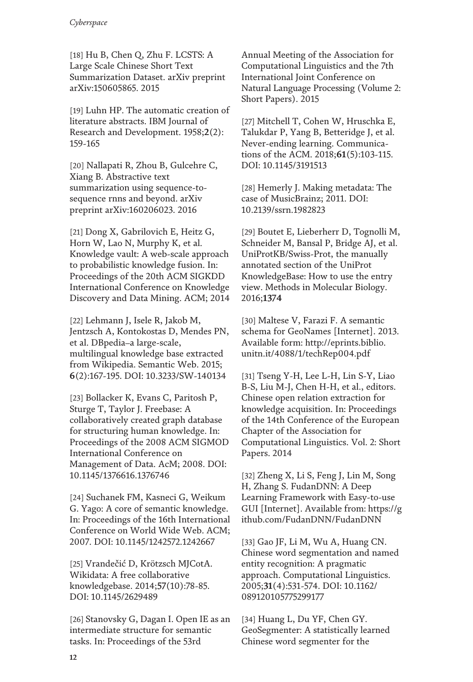[18] Hu B, Chen Q, Zhu F. LCSTS: A Large Scale Chinese Short Text Summarization Dataset. arXiv preprint arXiv:150605865. 2015

[19] Luhn HP. The automatic creation of literature abstracts. IBM Journal of Research and Development. 1958;**2**(2): 159-165

[20] Nallapati R, Zhou B, Gulcehre C, Xiang B. Abstractive text summarization using sequence-tosequence rnns and beyond. arXiv preprint arXiv:160206023. 2016

[21] Dong X, Gabrilovich E, Heitz G, Horn W, Lao N, Murphy K, et al. Knowledge vault: A web-scale approach to probabilistic knowledge fusion. In: Proceedings of the 20th ACM SIGKDD International Conference on Knowledge Discovery and Data Mining. ACM; 2014

[22] Lehmann J, Isele R, Jakob M, Jentzsch A, Kontokostas D, Mendes PN, et al. DBpedia–a large-scale, multilingual knowledge base extracted from Wikipedia. Semantic Web. 2015; **6**(2):167-195. DOI: 10.3233/SW-140134

[23] Bollacker K, Evans C, Paritosh P, Sturge T, Taylor J. Freebase: A collaboratively created graph database for structuring human knowledge. In: Proceedings of the 2008 ACM SIGMOD International Conference on Management of Data. AcM; 2008. DOI: 10.1145/1376616.1376746

[24] Suchanek FM, Kasneci G, Weikum G. Yago: A core of semantic knowledge. In: Proceedings of the 16th International Conference on World Wide Web. ACM; 2007. DOI: 10.1145/1242572.1242667

[25] Vrandečić D, Krötzsch MJCotA. Wikidata: A free collaborative knowledgebase. 2014;**57**(10):78-85. DOI: 10.1145/2629489

[26] Stanovsky G, Dagan I. Open IE as an intermediate structure for semantic tasks. In: Proceedings of the 53rd

Annual Meeting of the Association for Computational Linguistics and the 7th International Joint Conference on Natural Language Processing (Volume 2: Short Papers). 2015

[27] Mitchell T, Cohen W, Hruschka E, Talukdar P, Yang B, Betteridge J, et al. Never-ending learning. Communications of the ACM. 2018;**61**(5):103-115. DOI: 10.1145/3191513

[28] Hemerly J. Making metadata: The case of MusicBrainz; 2011. DOI: 10.2139/ssrn.1982823

[29] Boutet E, Lieberherr D, Tognolli M, Schneider M, Bansal P, Bridge AJ, et al. UniProtKB/Swiss-Prot, the manually annotated section of the UniProt KnowledgeBase: How to use the entry view. Methods in Molecular Biology. 2016;**1374**

[30] Maltese V, Farazi F. A semantic schema for GeoNames [Internet]. 2013. Available form: http://eprints.biblio. unitn.it/4088/1/techRep004.pdf

[31] Tseng Y-H, Lee L-H, Lin S-Y, Liao B-S, Liu M-J, Chen H-H, et al., editors. Chinese open relation extraction for knowledge acquisition. In: Proceedings of the 14th Conference of the European Chapter of the Association for Computational Linguistics. Vol. 2: Short Papers. 2014

[32] Zheng X, Li S, Feng J, Lin M, Song H, Zhang S. FudanDNN: A Deep Learning Framework with Easy-to-use GUI [Internet]. Available from: https://g ithub.com/FudanDNN/FudanDNN

[33] Gao JF, Li M, Wu A, Huang CN. Chinese word segmentation and named entity recognition: A pragmatic approach. Computational Linguistics. 2005;**31**(4):531-574. DOI: 10.1162/ 089120105775299177

[34] Huang L, Du YF, Chen GY. GeoSegmenter: A statistically learned Chinese word segmenter for the